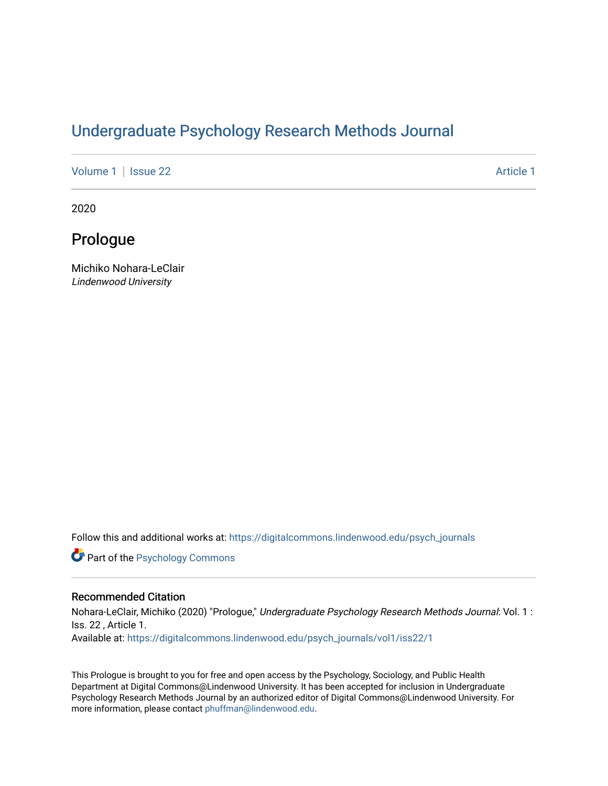# [Undergraduate Psychology Research Methods Journal](https://digitalcommons.lindenwood.edu/psych_journals)

[Volume 1](https://digitalcommons.lindenwood.edu/psych_journals/vol1) | [Issue 22](https://digitalcommons.lindenwood.edu/psych_journals/vol1/iss22) Article 1

2020

## Prologue

Michiko Nohara-LeClair Lindenwood University

Follow this and additional works at: [https://digitalcommons.lindenwood.edu/psych\\_journals](https://digitalcommons.lindenwood.edu/psych_journals?utm_source=digitalcommons.lindenwood.edu%2Fpsych_journals%2Fvol1%2Fiss22%2F1&utm_medium=PDF&utm_campaign=PDFCoverPages) 

**Part of the Psychology Commons** 

#### Recommended Citation

Nohara-LeClair, Michiko (2020) "Prologue," Undergraduate Psychology Research Methods Journal: Vol. 1 : Iss. 22 , Article 1. Available at: [https://digitalcommons.lindenwood.edu/psych\\_journals/vol1/iss22/1](https://digitalcommons.lindenwood.edu/psych_journals/vol1/iss22/1?utm_source=digitalcommons.lindenwood.edu%2Fpsych_journals%2Fvol1%2Fiss22%2F1&utm_medium=PDF&utm_campaign=PDFCoverPages) 

This Prologue is brought to you for free and open access by the Psychology, Sociology, and Public Health Department at Digital Commons@Lindenwood University. It has been accepted for inclusion in Undergraduate Psychology Research Methods Journal by an authorized editor of Digital Commons@Lindenwood University. For more information, please contact [phuffman@lindenwood.edu.](mailto:phuffman@lindenwood.edu)